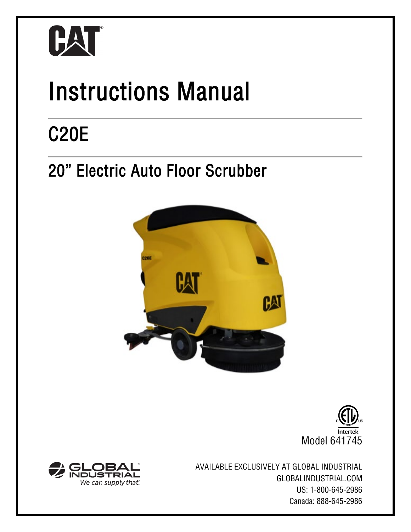

# Instructions Manual

# C20E<br>20" Electric Auto Floor Scrubber







AVAILABLE EXCLUSIVELY AT GLOBAL INDUSTRIAL GLOBALINDUSTRIAL.COM US: 1-800-645-2986 Canada: 888-645-2986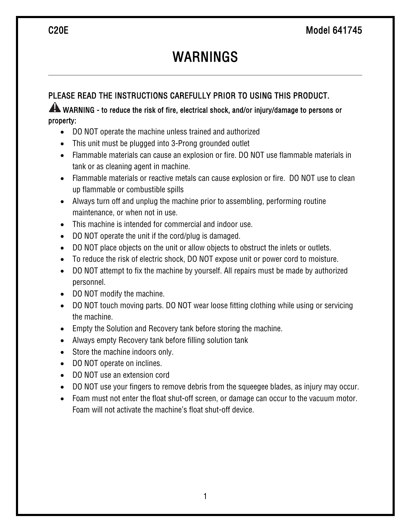## WARNINGS

### PLEASE READ THE INSTRUCTIONS CAREFULLY PRIOR TO USING THIS PRODUCT.

### WARNING - to reduce the risk of fire, electrical shock, and/or injury/damage to persons or property:

- DO NOT operate the machine unless trained and authorized
- This unit must be plugged into 3-Prong grounded outlet
- Flammable materials can cause an explosion or fire. DO NOT use flammable materials in tank or as cleaning agent in machine.
- Flammable materials or reactive metals can cause explosion or fire. DO NOT use to clean up flammable or combustible spills
- Always turn off and unplug the machine prior to assembling, performing routine maintenance, or when not in use.
- This machine is intended for commercial and indoor use.
- DO NOT operate the unit if the cord/plug is damaged.
- DO NOT place objects on the unit or allow objects to obstruct the inlets or outlets.
- To reduce the risk of electric shock, DO NOT expose unit or power cord to moisture.
- DO NOT attempt to fix the machine by yourself. All repairs must be made by authorized personnel.
- DO NOT modify the machine.
- DO NOT touch moving parts. DO NOT wear loose fitting clothing while using or servicing the machine.
- Empty the Solution and Recovery tank before storing the machine.
- Always empty Recovery tank before filling solution tank
- Store the machine indoors only.
- DO NOT operate on inclines.
- DO NOT use an extension cord
- DO NOT use your fingers to remove debris from the squeegee blades, as injury may occur.
- Foam must not enter the float shut-off screen, or damage can occur to the vacuum motor. Foam will not activate the machine's float shut-off device.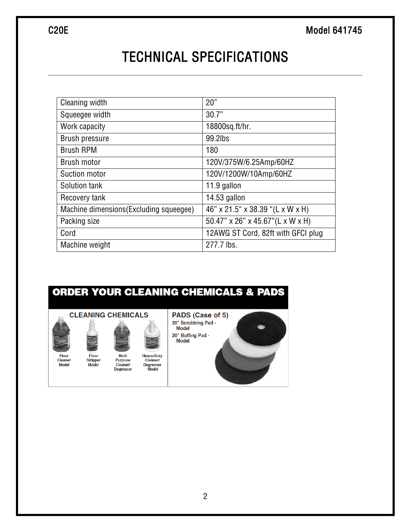### TECHNICAL SPECIFICATIONS

| Cleaning width                          | 20"                                |
|-----------------------------------------|------------------------------------|
| Squeegee width                          | 30.7"                              |
| Work capacity                           | 18800sq.ft/hr.                     |
| <b>Brush pressure</b>                   | 99.2lbs                            |
| <b>Brush RPM</b>                        | 180                                |
| Brush motor                             | 120V/375W/6.25Amp/60HZ             |
| Suction motor                           | 120V/1200W/10Amp/60HZ              |
| Solution tank                           | 11.9 gallon                        |
| Recovery tank                           | 14.53 gallon                       |
| Machine dimensions (Excluding squeegee) | 46" x 21.5" x 38.39 "(L x W x H)   |
| Packing size                            | 50.47" x 26" x 45.67" (L x W x H)  |
| Cord                                    | 12AWG ST Cord, 82ft with GFCI plug |
| Machine weight                          | 277.7 lbs.                         |

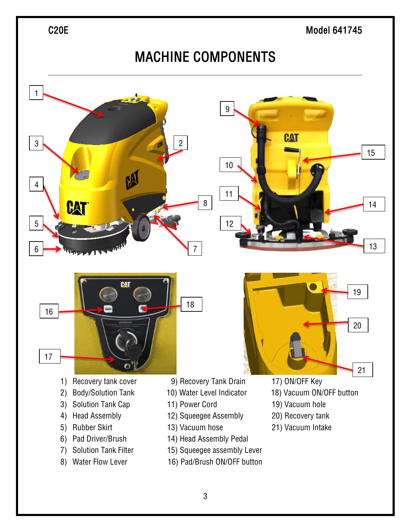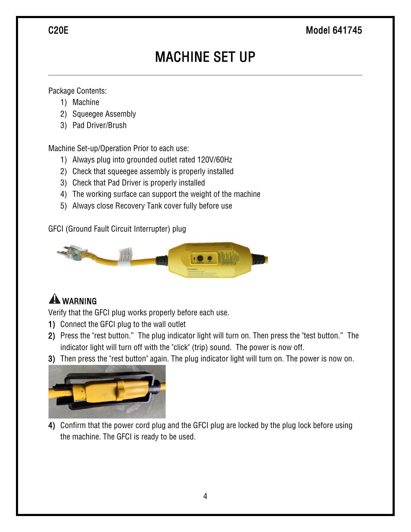### C20E Model 641745

# MACHINE SET UP

Package Contents:

- 1) Machine
- 2) Squeegee Assembly
- 3) Pad Driver/Brush

Machine Set-up/Operation Prior to each use:

- 1) Always plug into grounded outlet rated 120V/60Hz
- 2) Check that squeegee assembly is properly installed
- 3) Check that Pad Driver is properly installed
- 4) The working surface can support the weight of the machine
- 5) Always close Recovery Tank cover fully before use

GFCI (Ground Fault Circuit Interrupter) plug



### **A** WARNING

Verify that the GFCI plug works properly before each use.

- 1) Connect the GFCI plug to the wall outlet
- 2) Press the "rest button." The plug indicator light will turn on. Then press the "test button." The indicator light will turn off with the "click" (trip) sound. The power is now off.
- 3) Then press the "rest button" again. The plug indicator light will turn on. The power is now on.



4) Confirm that the power cord plug and the GFCI plug are locked by the plug lock before using the machine. The GFCI is ready to be used.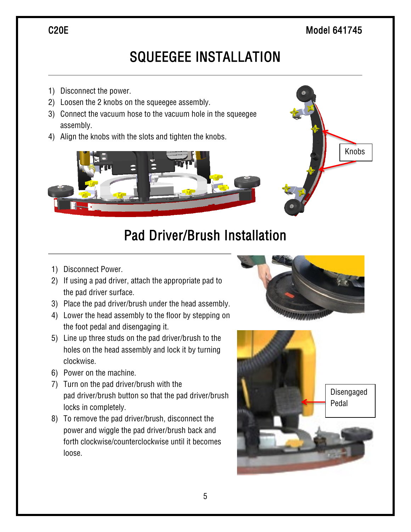### C<sub>20E</sub> Model 641745

Knobs

### SQUEEGEE INSTALLATION

- 1) Disconnect the power.
- 2) Loosen the 2 knobs on the squeegee assembly.
- 3) Connect the vacuum hose to the vacuum hole in the squeegee assembly.
- 4) Align the knobs with the slots and tighten the knobs.



### Pad Driver/Brush Installation

- 1) Disconnect Power.
- 2) If using a pad driver, attach the appropriate pad to the pad driver surface.
- 3) Place the pad driver/brush under the head assembly.
- 4) Lower the head assembly to the floor by stepping on the foot pedal and disengaging it.
- 5) Line up three studs on the pad driver/brush to the holes on the head assembly and lock it by turning clockwise.
- 6) Power on the machine.
- 7) Turn on the pad driver/brush with the pad driver/brush button so that the pad driver/brush locks in completely.
- 8) To remove the pad driver/brush, disconnect the power and wiggle the pad driver/brush back and forth clockwise/counterclockwise until it becomes loose.





5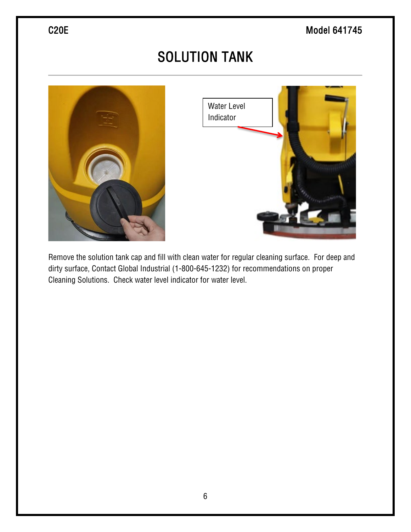# SOLUTION TANK





Remove the solution tank cap and fill with clean water for regular cleaning surface. For deep and dirty surface, Contact Global Industrial (1-800-645-1232) for recommendations on proper Cleaning Solutions. Check water level indicator for water level.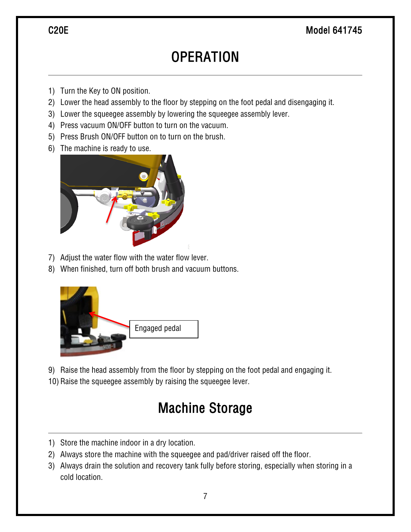### C20E Model 641745

### **OPERATION**

- 1) Turn the Key to ON position.
- 2) Lower the head assembly to the floor by stepping on the foot pedal and disengaging it.
- 3) Lower the squeegee assembly by lowering the squeegee assembly lever.
- 4) Press vacuum ON/OFF button to turn on the vacuum.
- 5) Press Brush ON/OFF button on to turn on the brush.
- 6) The machine is ready to use.



- 7) Adjust the water flow with the water flow lever.
- 8) When finished, turn off both brush and vacuum buttons.



9) Raise the head assembly from the floor by stepping on the foot pedal and engaging it.

10) Raise the squeegee assembly by raising the squeegee lever.

### Machine Storage

- 1) Store the machine indoor in a dry location.
- 2) Always store the machine with the squeegee and pad/driver raised off the floor.
- 3) Always drain the solution and recovery tank fully before storing, especially when storing in a cold location.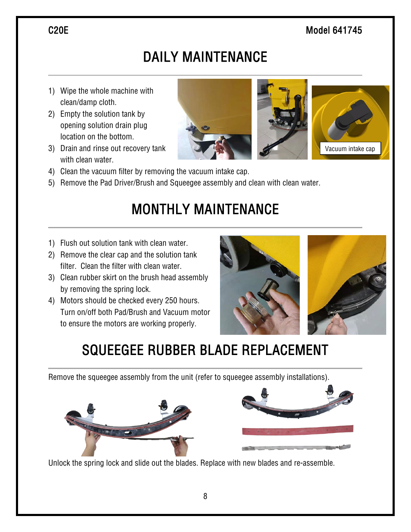### C<sub>20E</sub> Model 641745

# DAILY MAINTENANCE

- 1) Wipe the whole machine with clean/damp cloth.
- 2) Empty the solution tank by opening solution drain plug location on the bottom.
- 3) Drain and rinse out recovery tank with clean water.
- 4) Clean the vacuum filter by removing the vacuum intake cap.
- 5) Remove the Pad Driver/Brush and Squeegee assembly and clean with clean water.

## MONTHLY MAINTENANCE

- 1) Flush out solution tank with clean water.
- 2) Remove the clear cap and the solution tank filter. Clean the filter with clean water.
- 3) Clean rubber skirt on the brush head assembly by removing the spring lock.
- 4) Motors should be checked every 250 hours. Turn on/off both Pad/Brush and Vacuum motor to ensure the motors are working properly.



# SQUEEGEE RUBBER BLADE REPLACEMENT

Remove the squeegee assembly from the unit (refer to squeegee assembly installations).





Unlock the spring lock and slide out the blades. Replace with new blades and re-assemble.

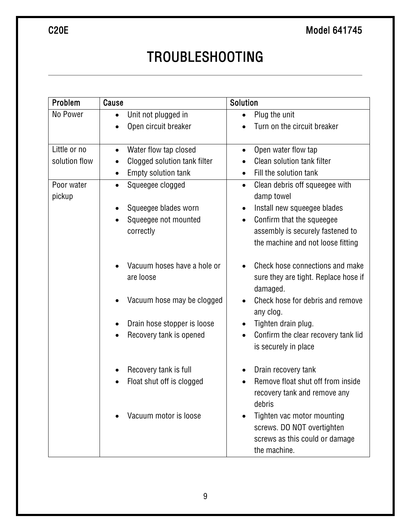# TROUBLESHOOTING

| Problem              | Cause                                     | Solution                                                                                                   |
|----------------------|-------------------------------------------|------------------------------------------------------------------------------------------------------------|
| No Power             | Unit not plugged in                       | Plug the unit                                                                                              |
|                      | Open circuit breaker                      | Turn on the circuit breaker                                                                                |
| Little or no         | Water flow tap closed<br>$\bullet$        | Open water flow tap<br>$\bullet$                                                                           |
| solution flow        | Clogged solution tank filter<br>$\bullet$ | Clean solution tank filter                                                                                 |
|                      | Empty solution tank<br>$\bullet$          | Fill the solution tank<br>$\bullet$                                                                        |
| Poor water<br>pickup | Squeegee clogged<br>$\bullet$             | Clean debris off squeegee with<br>$\bullet$<br>damp towel                                                  |
|                      | Squeegee blades worn                      | Install new squeegee blades<br>٠                                                                           |
|                      | Squeegee not mounted                      | Confirm that the squeegee                                                                                  |
|                      | correctly                                 | assembly is securely fastened to<br>the machine and not loose fitting                                      |
|                      | Vacuum hoses have a hole or<br>are loose  | Check hose connections and make<br>sure they are tight. Replace hose if<br>damaged.                        |
|                      | Vacuum hose may be clogged                | Check hose for debris and remove<br>any clog.                                                              |
|                      | Drain hose stopper is loose               | Tighten drain plug.                                                                                        |
|                      | Recovery tank is opened<br>$\bullet$      | Confirm the clear recovery tank lid<br>$\bullet$<br>is securely in place                                   |
|                      | Recovery tank is full                     | Drain recovery tank                                                                                        |
|                      | Float shut off is clogged                 | Remove float shut off from inside<br>recovery tank and remove any<br>debris                                |
|                      | Vacuum motor is loose                     | Tighten vac motor mounting<br>screws. DO NOT overtighten<br>screws as this could or damage<br>the machine. |